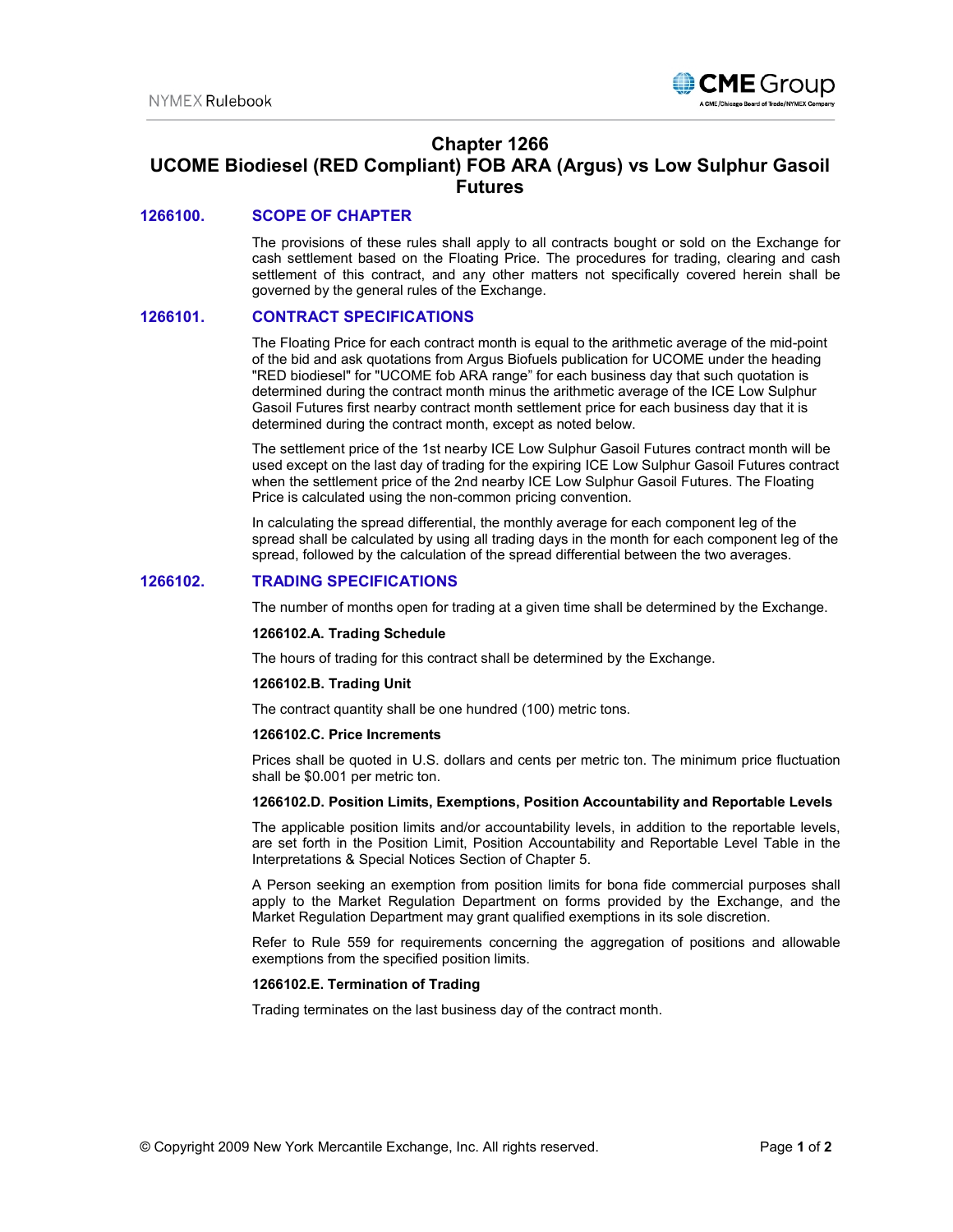

# **Chapter 1266 UCOME Biodiesel (RED Compliant) FOB ARA (Argus) vs Low Sulphur Gasoil Futures**

# **1266100. SCOPE OF CHAPTER**

The provisions of these rules shall apply to all contracts bought or sold on the Exchange for cash settlement based on the Floating Price. The procedures for trading, clearing and cash settlement of this contract, and any other matters not specifically covered herein shall be governed by the general rules of the Exchange.

### **1266101. CONTRACT SPECIFICATIONS**

The Floating Price for each contract month is equal to the arithmetic average of the mid-point of the bid and ask quotations from Argus Biofuels publication for UCOME under the heading "RED biodiesel" for "UCOME fob ARA range" for each business day that such quotation is determined during the contract month minus the arithmetic average of the ICE Low Sulphur Gasoil Futures first nearby contract month settlement price for each business day that it is determined during the contract month, except as noted below.

The settlement price of the 1st nearby ICE Low Sulphur Gasoil Futures contract month will be used except on the last day of trading for the expiring ICE Low Sulphur Gasoil Futures contract when the settlement price of the 2nd nearby ICE Low Sulphur Gasoil Futures. The Floating Price is calculated using the non-common pricing convention.

In calculating the spread differential, the monthly average for each component leg of the spread shall be calculated by using all trading days in the month for each component leg of the spread, followed by the calculation of the spread differential between the two averages.

# **1266102. TRADING SPECIFICATIONS**

The number of months open for trading at a given time shall be determined by the Exchange.

#### **1266102.A. Trading Schedule**

The hours of trading for this contract shall be determined by the Exchange.

#### **1266102.B. Trading Unit**

The contract quantity shall be one hundred (100) metric tons.

#### **1266102.C. Price Increments**

Prices shall be quoted in U.S. dollars and cents per metric ton. The minimum price fluctuation shall be \$0.001 per metric ton.

#### **1266102.D. Position Limits, Exemptions, Position Accountability and Reportable Levels**

The applicable position limits and/or accountability levels, in addition to the reportable levels, are set forth in the Position Limit, Position Accountability and Reportable Level Table in the Interpretations & Special Notices Section of Chapter 5.

A Person seeking an exemption from position limits for bona fide commercial purposes shall apply to the Market Regulation Department on forms provided by the Exchange, and the Market Regulation Department may grant qualified exemptions in its sole discretion.

Refer to Rule 559 for requirements concerning the aggregation of positions and allowable exemptions from the specified position limits.

#### **1266102.E. Termination of Trading**

Trading terminates on the last business day of the contract month.